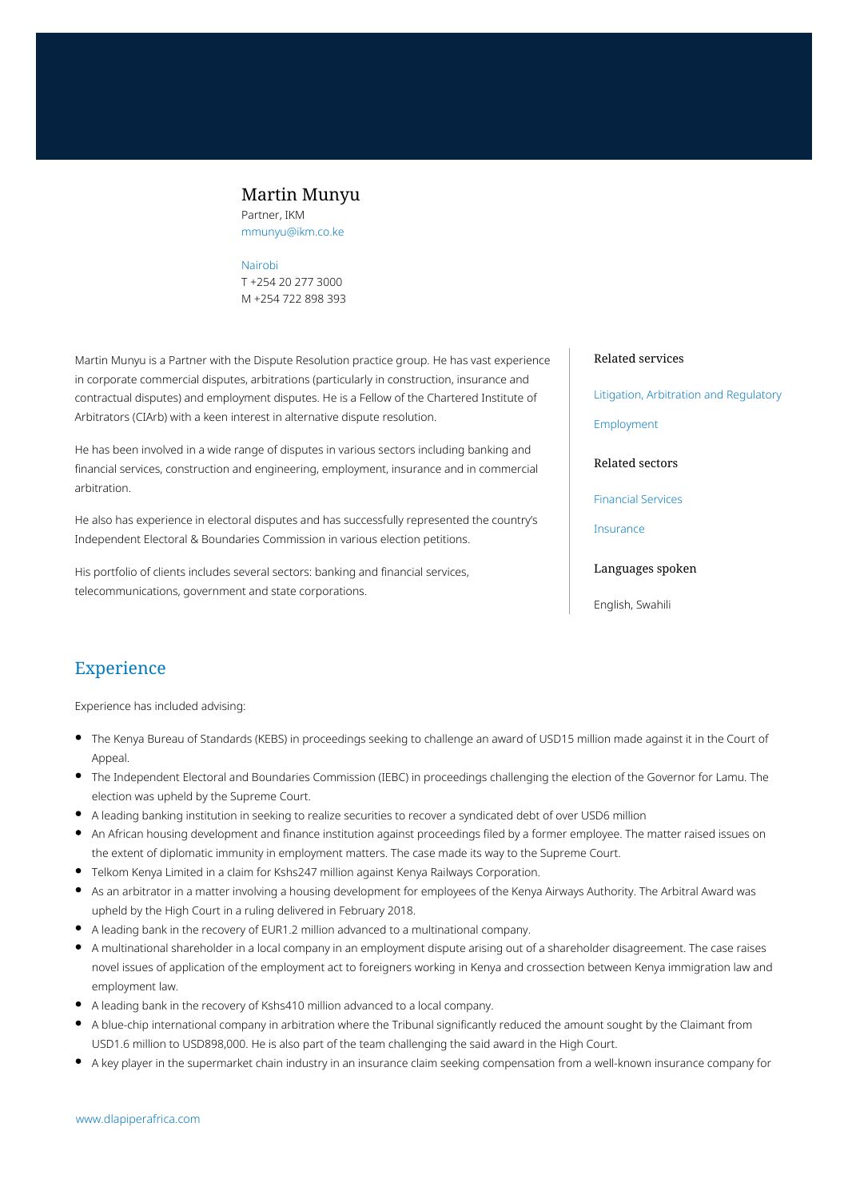## Martin Munyu

Partner, IKM mmunyu@ikm.co.ke

#### [Nairobi](https://www.dlapiperafrica.com/kenya/locations/nairobi.html)

T +254 20 277 3000 M +254 722 898 393

Martin Munyu is a Partner with the Dispute Resolution practice group. He has vast experience in corporate commercial disputes, arbitrations (particularly in construction, insurance and contractual disputes) and employment disputes. He is a Fellow of the Chartered Institute of Arbitrators (CIArb) with a keen interest in alternative dispute resolution.

He has been involved in a wide range of disputes in various sectors including banking and financial services, construction and engineering, employment, insurance and in commercial arbitration.

He also has experience in electoral disputes and has successfully represented the country's Independent Electoral & Boundaries Commission in various election petitions.

His portfolio of clients includes several sectors: banking and financial services, telecommunications, government and state corporations.

#### Related services

[Litigation, Arbitration and Regulatory](https://www.dlapiperafrica.com/en/kenya/services/litigation-and-regulatory.html)

[Employment](https://www.dlapiperafrica.com/en/kenya/services/employment.html)

Related sectors

[Financial Services](https://www.dlapiperafrica.com/en/kenya/sectors/financial-services.html)

[Insurance](https://www.dlapiperafrica.com/en/kenya/sectors/insurance.html)

#### Languages spoken

English, Swahili

### Experience

Experience has included advising:

- The Kenya Bureau of Standards (KEBS) in proceedings seeking to challenge an award of USD15 million made against it in the Court of Appeal.
- The Independent Electoral and Boundaries Commission (IEBC) in proceedings challenging the election of the Governor for Lamu. The election was upheld by the Supreme Court.
- A leading banking institution in seeking to realize securities to recover a syndicated debt of over USD6 million
- An African housing development and finance institution against proceedings filed by a former employee. The matter raised issues on the extent of diplomatic immunity in employment matters. The case made its way to the Supreme Court.
- Telkom Kenya Limited in a claim for Kshs247 million against Kenya Railways Corporation.
- As an arbitrator in a matter involving a housing development for employees of the Kenya Airways Authority. The Arbitral Award was upheld by the High Court in a ruling delivered in February 2018.
- A leading bank in the recovery of EUR1.2 million advanced to a multinational company.
- A multinational shareholder in a local company in an employment dispute arising out of a shareholder disagreement. The case raises novel issues of application of the employment act to foreigners working in Kenya and crossection between Kenya immigration law and employment law.
- A leading bank in the recovery of Kshs410 million advanced to a local company.
- A blue-chip international company in arbitration where the Tribunal significantly reduced the amount sought by the Claimant from USD1.6 million to USD898,000. He is also part of the team challenging the said award in the High Court.
- A key player in the supermarket chain industry in an insurance claim seeking compensation from a well-known insurance company for